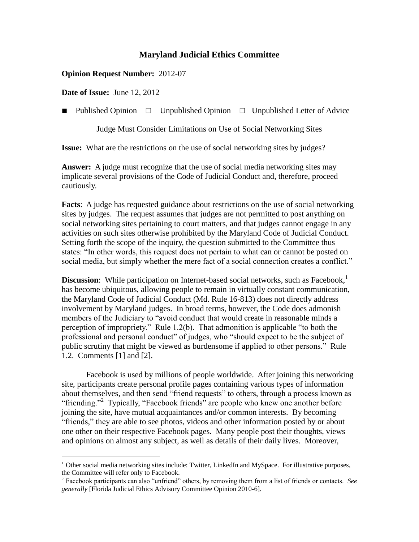# **Maryland Judicial Ethics Committee**

# **Opinion Request Number:** 2012-07

**Date of Issue:** June 12, 2012

 $\overline{a}$ 

■ Published Opinion □ Unpublished Opinion □ Unpublished Letter of Advice

Judge Must Consider Limitations on Use of Social Networking Sites

**Issue:** What are the restrictions on the use of social networking sites by judges?

**Answer:** A judge must recognize that the use of social media networking sites may implicate several provisions of the Code of Judicial Conduct and, therefore, proceed cautiously.

**Facts**: A judge has requested guidance about restrictions on the use of social networking sites by judges. The request assumes that judges are not permitted to post anything on social networking sites pertaining to court matters, and that judges cannot engage in any activities on such sites otherwise prohibited by the Maryland Code of Judicial Conduct. Setting forth the scope of the inquiry, the question submitted to the Committee thus states: "In other words, this request does not pertain to what can or cannot be posted on social media, but simply whether the mere fact of a social connection creates a conflict."

**Discussion**: While participation on Internet-based social networks, such as Facebook,<sup>1</sup> has become ubiquitous, allowing people to remain in virtually constant communication, the Maryland Code of Judicial Conduct (Md. Rule 16-813) does not directly address involvement by Maryland judges. In broad terms, however, the Code does admonish members of the Judiciary to "avoid conduct that would create in reasonable minds a perception of impropriety." Rule 1.2(b). That admonition is applicable "to both the professional and personal conduct" of judges, who "should expect to be the subject of public scrutiny that might be viewed as burdensome if applied to other persons." Rule 1.2. Comments [1] and [2].

Facebook is used by millions of people worldwide. After joining this networking site, participants create personal profile pages containing various types of information about themselves, and then send "friend requests" to others, through a process known as "friending."<sup>2</sup> Typically, "Facebook friends" are people who knew one another before joining the site, have mutual acquaintances and/or common interests. By becoming "friends," they are able to see photos, videos and other information posted by or about one other on their respective Facebook pages. Many people post their thoughts, views and opinions on almost any subject, as well as details of their daily lives. Moreover,

 $1$  Other social media networking sites include: Twitter, LinkedIn and MySpace. For illustrative purposes, the Committee will refer only to Facebook.

<sup>2</sup> Facebook participants can also "unfriend" others, by removing them from a list of friends or contacts. *See generally* [Florida Judicial Ethics Advisory Committee Opinion 2010-6].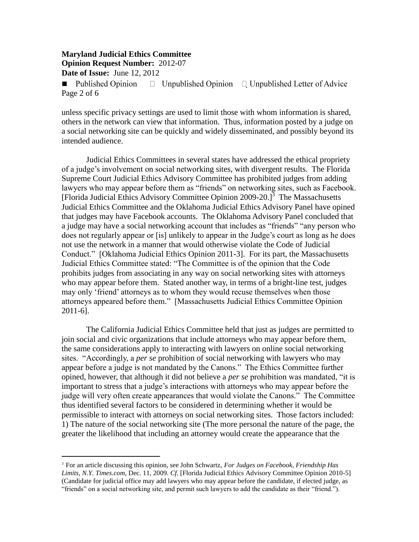$\overline{a}$ 

■ Published Opinion  $\Box$  Unpublished Opinion  $\Box$  Unpublished Letter of Advice Page 2 of 6

unless specific privacy settings are used to limit those with whom information is shared, others in the network can view that information. Thus, information posted by a judge on a social networking site can be quickly and widely disseminated, and possibly beyond its intended audience.

Judicial Ethics Committees in several states have addressed the ethical propriety of a judge"s involvement on social networking sites, with divergent results. The Florida Supreme Court Judicial Ethics Advisory Committee has prohibited judges from adding lawyers who may appear before them as "friends" on networking sites, such as Facebook. [Florida Judicial Ethics Advisory Committee Opinion 2009-20.]<sup>3</sup> The Massachusetts Judicial Ethics Committee and the Oklahoma Judicial Ethics Advisory Panel have opined that judges may have Facebook accounts. The Oklahoma Advisory Panel concluded that a judge may have a social networking account that includes as "friends" "any person who does not regularly appear or [is] unlikely to appear in the Judge"s court as long as he does not use the network in a manner that would otherwise violate the Code of Judicial Conduct." [Oklahoma Judicial Ethics Opinion 2011-3]. For its part, the Massachusetts Judicial Ethics Committee stated: "The Committee is of the opinion that the Code prohibits judges from associating in any way on social networking sites with attorneys who may appear before them. Stated another way, in terms of a bright-line test, judges may only "friend" attorneys as to whom they would recuse themselves when those attorneys appeared before them." [Massachusetts Judicial Ethics Committee Opinion 2011-6].

The California Judicial Ethics Committee held that just as judges are permitted to join social and civic organizations that include attorneys who may appear before them, the same considerations apply to interacting with lawyers on online social networking sites. "Accordingly, a *per se* prohibition of social networking with lawyers who may appear before a judge is not mandated by the Canons." The Ethics Committee further opined, however, that although it did not believe a *per se* prohibition was mandated, "it is important to stress that a judge"s interactions with attorneys who may appear before the judge will very often create appearances that would violate the Canons." The Committee thus identified several factors to be considered in determining whether it would be permissible to interact with attorneys on social networking sites. Those factors included: 1) The nature of the social networking site (The more personal the nature of the page, the greater the likelihood that including an attorney would create the appearance that the

<sup>3</sup> For an article discussing this opinion, see John Schwartz, *For Judges on Facebook, Friendship Has Limits*, *N.Y. Times.com*, Dec. 11, 2009. *Cf*. [Florida Judicial Ethics Advisory Committee Opinion 2010-5] (Candidate for judicial office may add lawyers who may appear before the candidate, if elected judge, as "friends" on a social networking site, and permit such lawyers to add the candidate as their "friend.").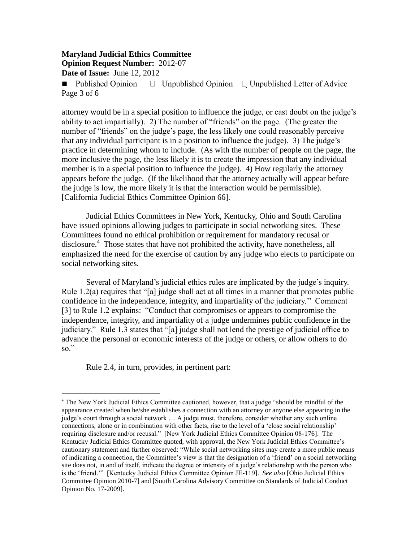$\Box$  Unpublished Opinion  $\Box$  Unpublished Letter of Advice ■ Published Opinion Page 3 of 6

attorney would be in a special position to influence the judge, or cast doubt on the judge"s ability to act impartially). 2) The number of "friends" on the page. (The greater the number of "friends" on the judge"s page, the less likely one could reasonably perceive that any individual participant is in a position to influence the judge). 3) The judge"s practice in determining whom to include. (As with the number of people on the page, the more inclusive the page, the less likely it is to create the impression that any individual member is in a special position to influence the judge). 4) How regularly the attorney appears before the judge. (If the likelihood that the attorney actually will appear before the judge is low, the more likely it is that the interaction would be permissible). [California Judicial Ethics Committee Opinion 66].

Judicial Ethics Committees in New York, Kentucky, Ohio and South Carolina have issued opinions allowing judges to participate in social networking sites. These Committees found no ethical prohibition or requirement for mandatory recusal or disclosure.<sup>4</sup> Those states that have not prohibited the activity, have nonetheless, all emphasized the need for the exercise of caution by any judge who elects to participate on social networking sites.

Several of Maryland's judicial ethics rules are implicated by the judge's inquiry. Rule 1.2(a) requires that "[a] judge shall act at all times in a manner that promotes public confidence in the independence, integrity, and impartiality of the judiciary."" Comment [3] to Rule 1.2 explains: "Conduct that compromises or appears to compromise the independence, integrity, and impartiality of a judge undermines public confidence in the judiciary." Rule 1.3 states that "[a] judge shall not lend the prestige of judicial office to advance the personal or economic interests of the judge or others, or allow others to do so."

Rule 2.4, in turn, provides, in pertinent part:

 $\overline{a}$ <sup>4</sup> The New York Judicial Ethics Committee cautioned, however, that a judge "should be mindful of the appearance created when he/she establishes a connection with an attorney or anyone else appearing in the judge's court through a social network ... A judge must, therefore, consider whether any such online connections, alone or in combination with other facts, rise to the level of a 'close social relationship' requiring disclosure and/or recusal." [New York Judicial Ethics Committee Opinion 08-176]. The Kentucky Judicial Ethics Committee quoted, with approval, the New York Judicial Ethics Committee"s cautionary statement and further observed: "While social networking sites may create a more public means of indicating a connection, the Committee"s view is that the designation of a "friend" on a social networking site does not, in and of itself, indicate the degree or intensity of a judge's relationship with the person who is the "friend."" [Kentucky Judicial Ethics Committee Opinion JE-119]. *See also* [Ohio Judicial Ethics Committee Opinion 2010-7] and [South Carolina Advisory Committee on Standards of Judicial Conduct Opinion No. 17-2009].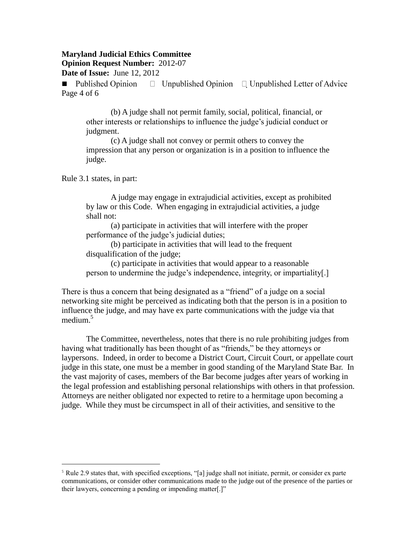#### **Maryland Judicial Ethics Committee**

**Opinion Request Number:** 2012-07

**Date of Issue:** June 12, 2012

■ Published Opinion  $\Box$  Unpublished Opinion  $\Box$  Unpublished Letter of Advice Page 4 of 6

(b) A judge shall not permit family, social, political, financial, or other interests or relationships to influence the judge"s judicial conduct or judgment.

(c) A judge shall not convey or permit others to convey the impression that any person or organization is in a position to influence the judge.

Rule 3.1 states, in part:

 $\overline{a}$ 

A judge may engage in extrajudicial activities, except as prohibited by law or this Code. When engaging in extrajudicial activities, a judge shall not:

(a) participate in activities that will interfere with the proper performance of the judge's judicial duties;

(b) participate in activities that will lead to the frequent disqualification of the judge;

(c) participate in activities that would appear to a reasonable person to undermine the judge"s independence, integrity, or impartiality[.]

There is thus a concern that being designated as a "friend" of a judge on a social networking site might be perceived as indicating both that the person is in a position to influence the judge, and may have ex parte communications with the judge via that medium. $5$ 

The Committee, nevertheless, notes that there is no rule prohibiting judges from having what traditionally has been thought of as "friends," be they attorneys or laypersons. Indeed, in order to become a District Court, Circuit Court, or appellate court judge in this state, one must be a member in good standing of the Maryland State Bar. In the vast majority of cases, members of the Bar become judges after years of working in the legal profession and establishing personal relationships with others in that profession. Attorneys are neither obligated nor expected to retire to a hermitage upon becoming a judge. While they must be circumspect in all of their activities, and sensitive to the

<sup>&</sup>lt;sup>5</sup> Rule 2.9 states that, with specified exceptions, "[a] judge shall not initiate, permit, or consider ex parte communications, or consider other communications made to the judge out of the presence of the parties or their lawyers, concerning a pending or impending matter[.]"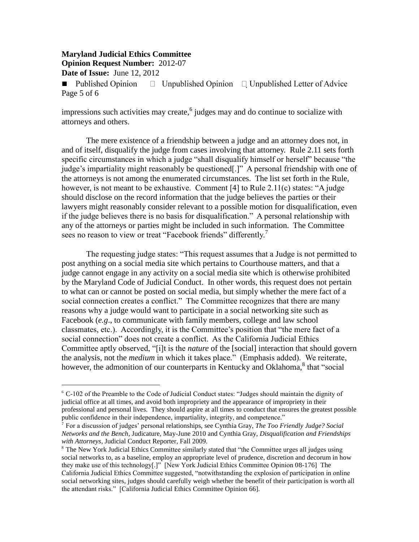$\Box$  Unpublished Opinion  $\Box$  Unpublished Letter of Advice ■ Published Opinion Page 5 of 6

impressions such activities may create,  $6$  judges may and do continue to socialize with attorneys and others.

The mere existence of a friendship between a judge and an attorney does not, in and of itself, disqualify the judge from cases involving that attorney. Rule 2.11 sets forth specific circumstances in which a judge "shall disqualify himself or herself" because "the judge's impartiality might reasonably be questioned[.]" A personal friendship with one of the attorneys is not among the enumerated circumstances. The list set forth in the Rule, however, is not meant to be exhaustive. Comment [4] to Rule 2.11(c) states: "A judge should disclose on the record information that the judge believes the parties or their lawyers might reasonably consider relevant to a possible motion for disqualification, even if the judge believes there is no basis for disqualification." A personal relationship with any of the attorneys or parties might be included in such information. The Committee sees no reason to view or treat "Facebook friends" differently.<sup>7</sup>

The requesting judge states: "This request assumes that a Judge is not permitted to post anything on a social media site which pertains to Courthouse matters, and that a judge cannot engage in any activity on a social media site which is otherwise prohibited by the Maryland Code of Judicial Conduct. In other words, this request does not pertain to what can or cannot be posted on social media, but simply whether the mere fact of a social connection creates a conflict." The Committee recognizes that there are many reasons why a judge would want to participate in a social networking site such as Facebook (*e.g*., to communicate with family members, college and law school classmates, etc.). Accordingly, it is the Committee's position that "the mere fact of a social connection" does not create a conflict. As the California Judicial Ethics Committee aptly observed, "[i]t is the *nature* of the [social] interaction that should govern the analysis, not the *medium* in which it takes place." (Emphasis added). We reiterate, however, the admonition of our counterparts in Kentucky and Oklahoma,<sup>8</sup> that "social

<sup>&</sup>lt;sup>6</sup> C-102 of the Preamble to the Code of Judicial Conduct states: "Judges should maintain the dignity of judicial office at all times, and avoid both impropriety and the appearance of impropriety in their professional and personal lives. They should aspire at all times to conduct that ensures the greatest possible public confidence in their independence, impartiality, integrity, and competence."

<sup>7</sup> For a discussion of judges" personal relationships, see Cynthia Gray, *The Too Friendly Judge? Social Networks and the Bench*, Judicature, May-June 2010 and Cynthia Gray, *Disqualification and Friendships with Attorneys*, Judicial Conduct Reporter, Fall 2009.

<sup>&</sup>lt;sup>8</sup> The New York Judicial Ethics Committee similarly stated that "the Committee urges all judges using social networks to, as a baseline, employ an appropriate level of prudence, discretion and decorum in how they make use of this technology[.]" [New York Judicial Ethics Committee Opinion 08-176] The California Judicial Ethics Committee suggested, "notwithstanding the explosion of participation in online social networking sites, judges should carefully weigh whether the benefit of their participation is worth all the attendant risks." [California Judicial Ethics Committee Opinion 66].